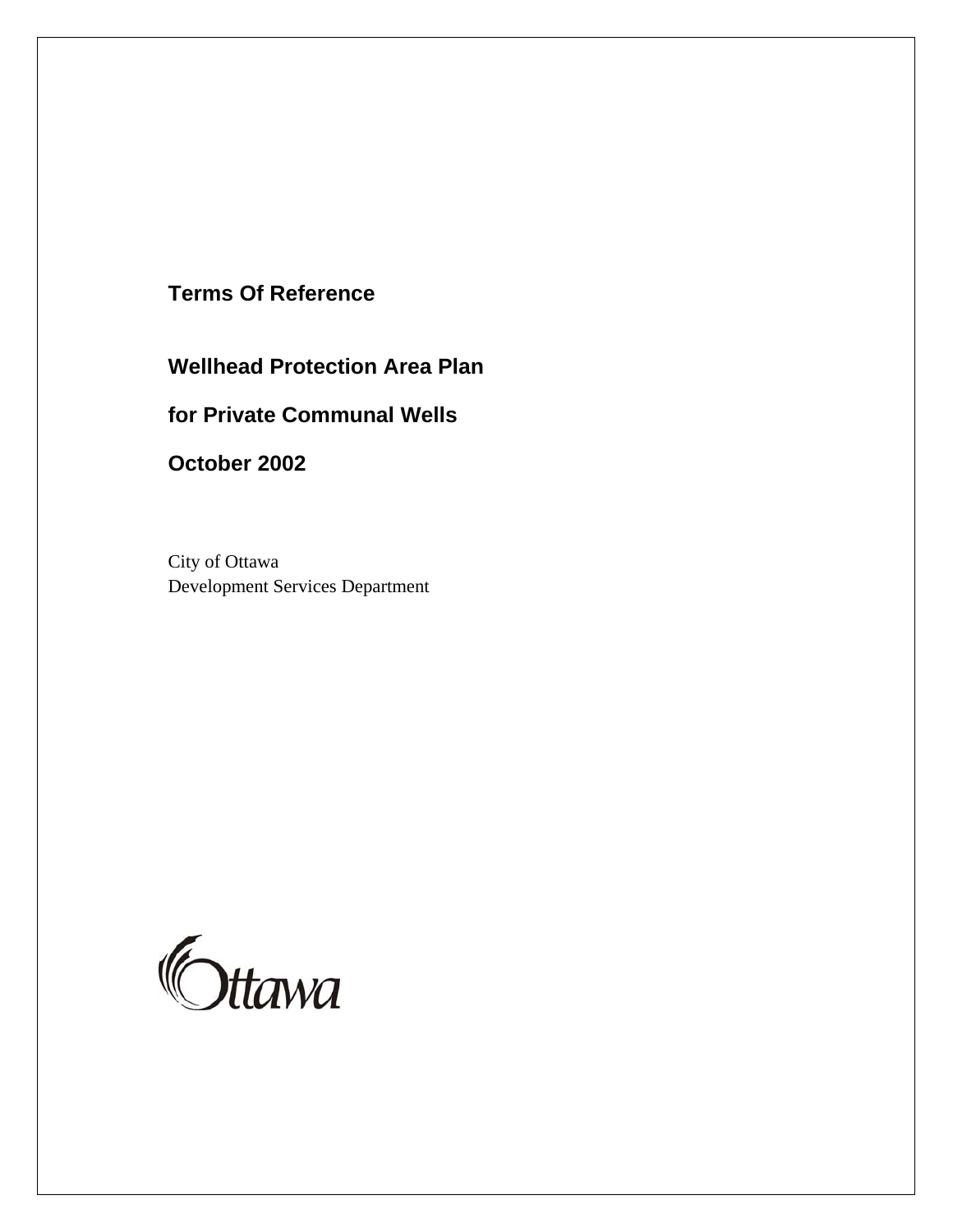# **Terms Of Reference**

**Wellhead Protection Area Plan** 

# **for Private Communal Wells**

**October 2002**

City of Ottawa Development Services Department

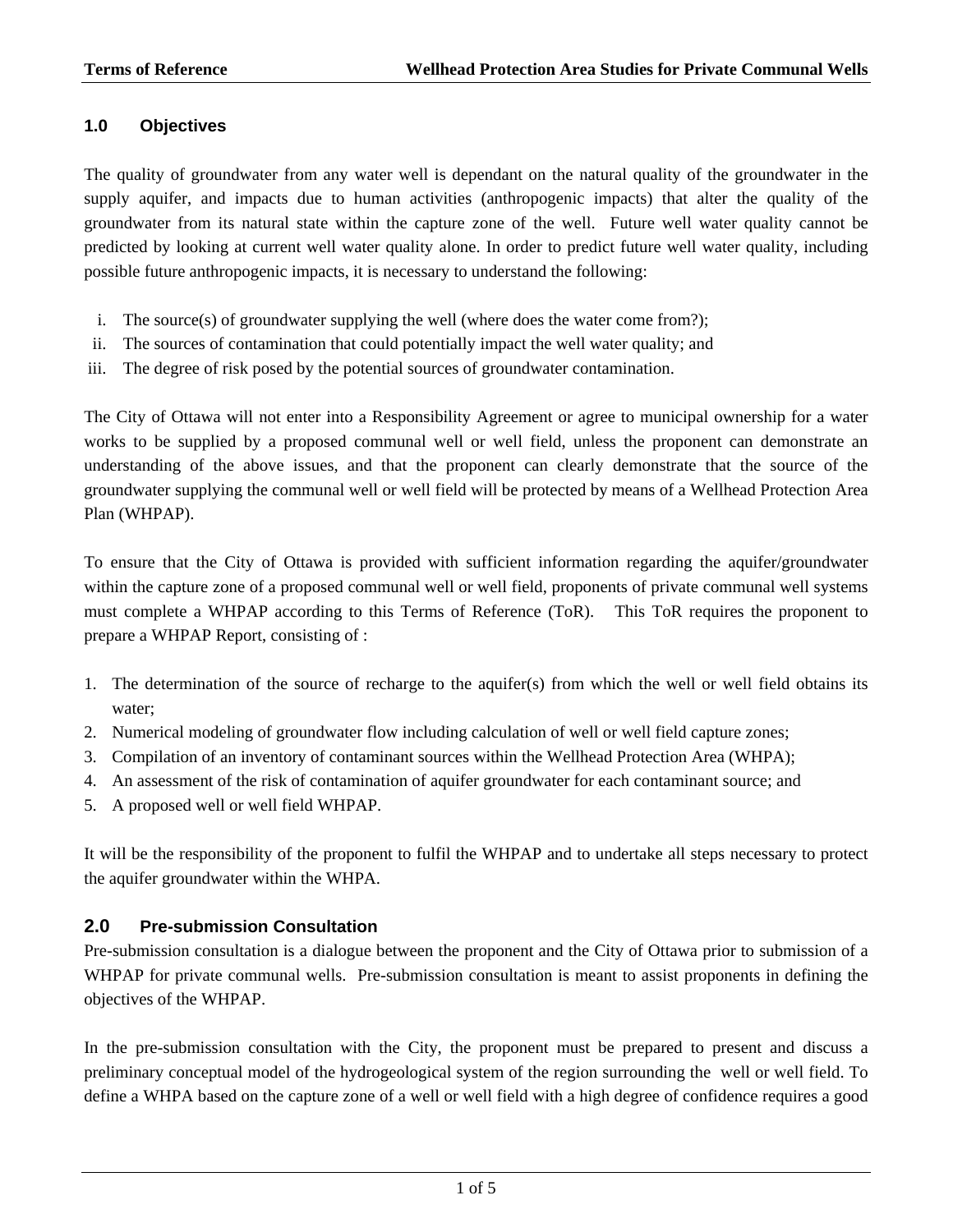## **1.0 Objectives**

The quality of groundwater from any water well is dependant on the natural quality of the groundwater in the supply aquifer, and impacts due to human activities (anthropogenic impacts) that alter the quality of the groundwater from its natural state within the capture zone of the well. Future well water quality cannot be predicted by looking at current well water quality alone. In order to predict future well water quality, including possible future anthropogenic impacts, it is necessary to understand the following:

- i. The source(s) of groundwater supplying the well (where does the water come from?);
- ii. The sources of contamination that could potentially impact the well water quality; and
- iii. The degree of risk posed by the potential sources of groundwater contamination.

The City of Ottawa will not enter into a Responsibility Agreement or agree to municipal ownership for a water works to be supplied by a proposed communal well or well field, unless the proponent can demonstrate an understanding of the above issues, and that the proponent can clearly demonstrate that the source of the groundwater supplying the communal well or well field will be protected by means of a Wellhead Protection Area Plan (WHPAP).

To ensure that the City of Ottawa is provided with sufficient information regarding the aquifer/groundwater within the capture zone of a proposed communal well or well field, proponents of private communal well systems must complete a WHPAP according to this Terms of Reference (ToR). This ToR requires the proponent to prepare a WHPAP Report, consisting of :

- 1. The determination of the source of recharge to the aquifer(s) from which the well or well field obtains its water;
- 2. Numerical modeling of groundwater flow including calculation of well or well field capture zones;
- 3. Compilation of an inventory of contaminant sources within the Wellhead Protection Area (WHPA);
- 4. An assessment of the risk of contamination of aquifer groundwater for each contaminant source; and
- 5. A proposed well or well field WHPAP.

It will be the responsibility of the proponent to fulfil the WHPAP and to undertake all steps necessary to protect the aquifer groundwater within the WHPA.

#### **2.0 Pre-submission Consultation**

Pre-submission consultation is a dialogue between the proponent and the City of Ottawa prior to submission of a WHPAP for private communal wells. Pre-submission consultation is meant to assist proponents in defining the objectives of the WHPAP.

In the pre-submission consultation with the City, the proponent must be prepared to present and discuss a preliminary conceptual model of the hydrogeological system of the region surrounding the well or well field. To define a WHPA based on the capture zone of a well or well field with a high degree of confidence requires a good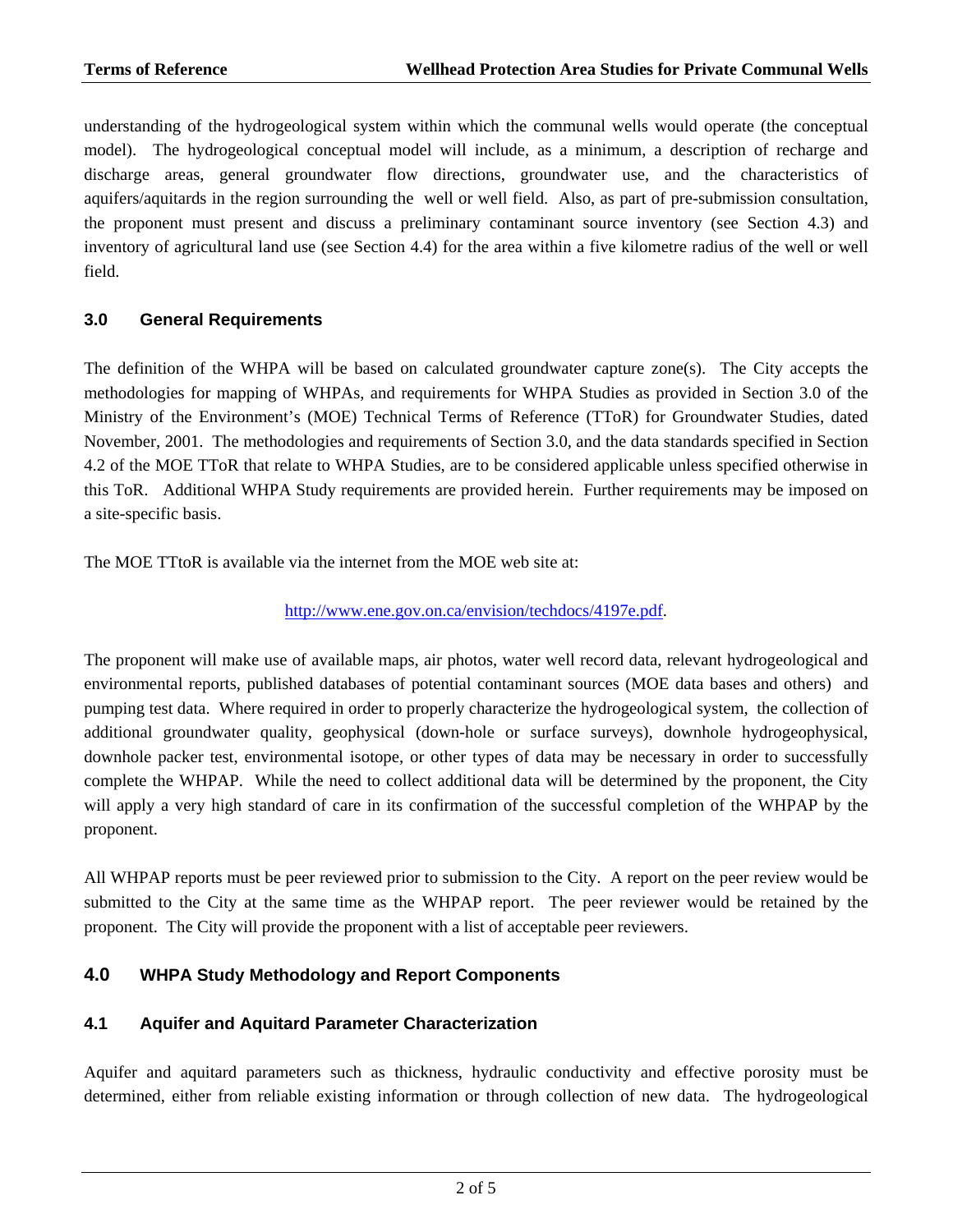understanding of the hydrogeological system within which the communal wells would operate (the conceptual model). The hydrogeological conceptual model will include, as a minimum, a description of recharge and discharge areas, general groundwater flow directions, groundwater use, and the characteristics of aquifers/aquitards in the region surrounding the well or well field. Also, as part of pre-submission consultation, the proponent must present and discuss a preliminary contaminant source inventory (see Section 4.3) and inventory of agricultural land use (see Section 4.4) for the area within a five kilometre radius of the well or well field.

## **3.0 General Requirements**

The definition of the WHPA will be based on calculated groundwater capture zone(s). The City accepts the methodologies for mapping of WHPAs, and requirements for WHPA Studies as provided in Section 3.0 of the Ministry of the Environment's (MOE) Technical Terms of Reference (TToR) for Groundwater Studies, dated November, 2001. The methodologies and requirements of Section 3.0, and the data standards specified in Section 4.2 of the MOE TToR that relate to WHPA Studies, are to be considered applicable unless specified otherwise in this ToR. Additional WHPA Study requirements are provided herein. Further requirements may be imposed on a site-specific basis.

The MOE TTtoR is available via the internet from the MOE web site at:

#### <http://www.ene.gov.on.ca/envision/techdocs/4197e.pdf>.

The proponent will make use of available maps, air photos, water well record data, relevant hydrogeological and environmental reports, published databases of potential contaminant sources (MOE data bases and others) and pumping test data. Where required in order to properly characterize the hydrogeological system, the collection of additional groundwater quality, geophysical (down-hole or surface surveys), downhole hydrogeophysical, downhole packer test, environmental isotope, or other types of data may be necessary in order to successfully complete the WHPAP. While the need to collect additional data will be determined by the proponent, the City will apply a very high standard of care in its confirmation of the successful completion of the WHPAP by the proponent.

All WHPAP reports must be peer reviewed prior to submission to the City. A report on the peer review would be submitted to the City at the same time as the WHPAP report. The peer reviewer would be retained by the proponent. The City will provide the proponent with a list of acceptable peer reviewers.

# **4.0 WHPA Study Methodology and Report Components**

#### **4.1 Aquifer and Aquitard Parameter Characterization**

Aquifer and aquitard parameters such as thickness, hydraulic conductivity and effective porosity must be determined, either from reliable existing information or through collection of new data. The hydrogeological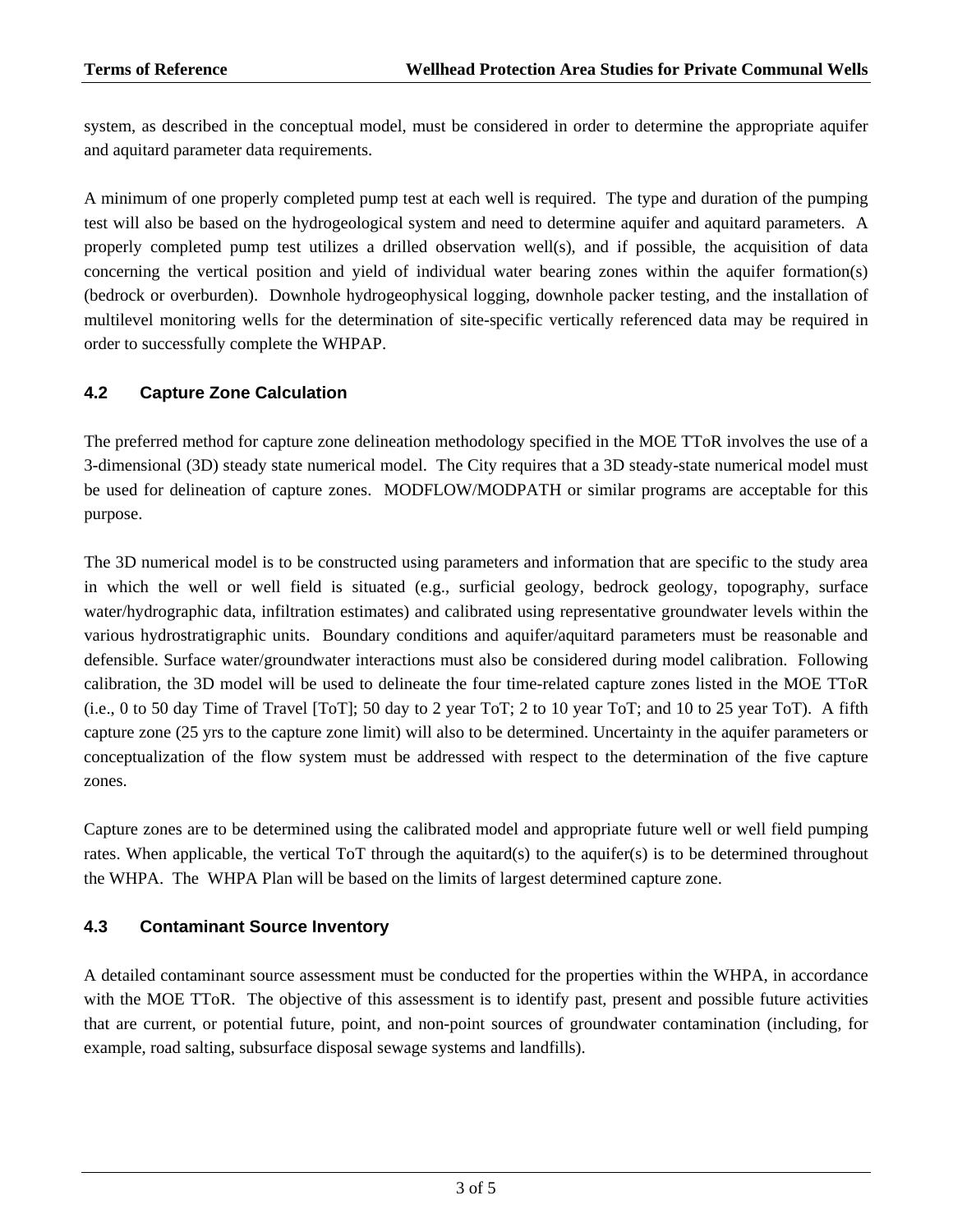system, as described in the conceptual model, must be considered in order to determine the appropriate aquifer and aquitard parameter data requirements.

A minimum of one properly completed pump test at each well is required. The type and duration of the pumping test will also be based on the hydrogeological system and need to determine aquifer and aquitard parameters. A properly completed pump test utilizes a drilled observation well(s), and if possible, the acquisition of data concerning the vertical position and yield of individual water bearing zones within the aquifer formation(s) (bedrock or overburden). Downhole hydrogeophysical logging, downhole packer testing, and the installation of multilevel monitoring wells for the determination of site-specific vertically referenced data may be required in order to successfully complete the WHPAP.

# **4.2 Capture Zone Calculation**

The preferred method for capture zone delineation methodology specified in the MOE TToR involves the use of a 3-dimensional (3D) steady state numerical model. The City requires that a 3D steady-state numerical model must be used for delineation of capture zones. MODFLOW/MODPATH or similar programs are acceptable for this purpose.

The 3D numerical model is to be constructed using parameters and information that are specific to the study area in which the well or well field is situated (e.g., surficial geology, bedrock geology, topography, surface water/hydrographic data, infiltration estimates) and calibrated using representative groundwater levels within the various hydrostratigraphic units. Boundary conditions and aquifer/aquitard parameters must be reasonable and defensible. Surface water/groundwater interactions must also be considered during model calibration. Following calibration, the 3D model will be used to delineate the four time-related capture zones listed in the MOE TToR (i.e., 0 to 50 day Time of Travel [ToT]; 50 day to 2 year ToT; 2 to 10 year ToT; and 10 to 25 year ToT). A fifth capture zone (25 yrs to the capture zone limit) will also to be determined. Uncertainty in the aquifer parameters or conceptualization of the flow system must be addressed with respect to the determination of the five capture zones.

Capture zones are to be determined using the calibrated model and appropriate future well or well field pumping rates. When applicable, the vertical ToT through the aquitard(s) to the aquifer(s) is to be determined throughout the WHPA. The WHPA Plan will be based on the limits of largest determined capture zone.

### **4.3 Contaminant Source Inventory**

A detailed contaminant source assessment must be conducted for the properties within the WHPA, in accordance with the MOE TToR. The objective of this assessment is to identify past, present and possible future activities that are current, or potential future, point, and non-point sources of groundwater contamination (including, for example, road salting, subsurface disposal sewage systems and landfills).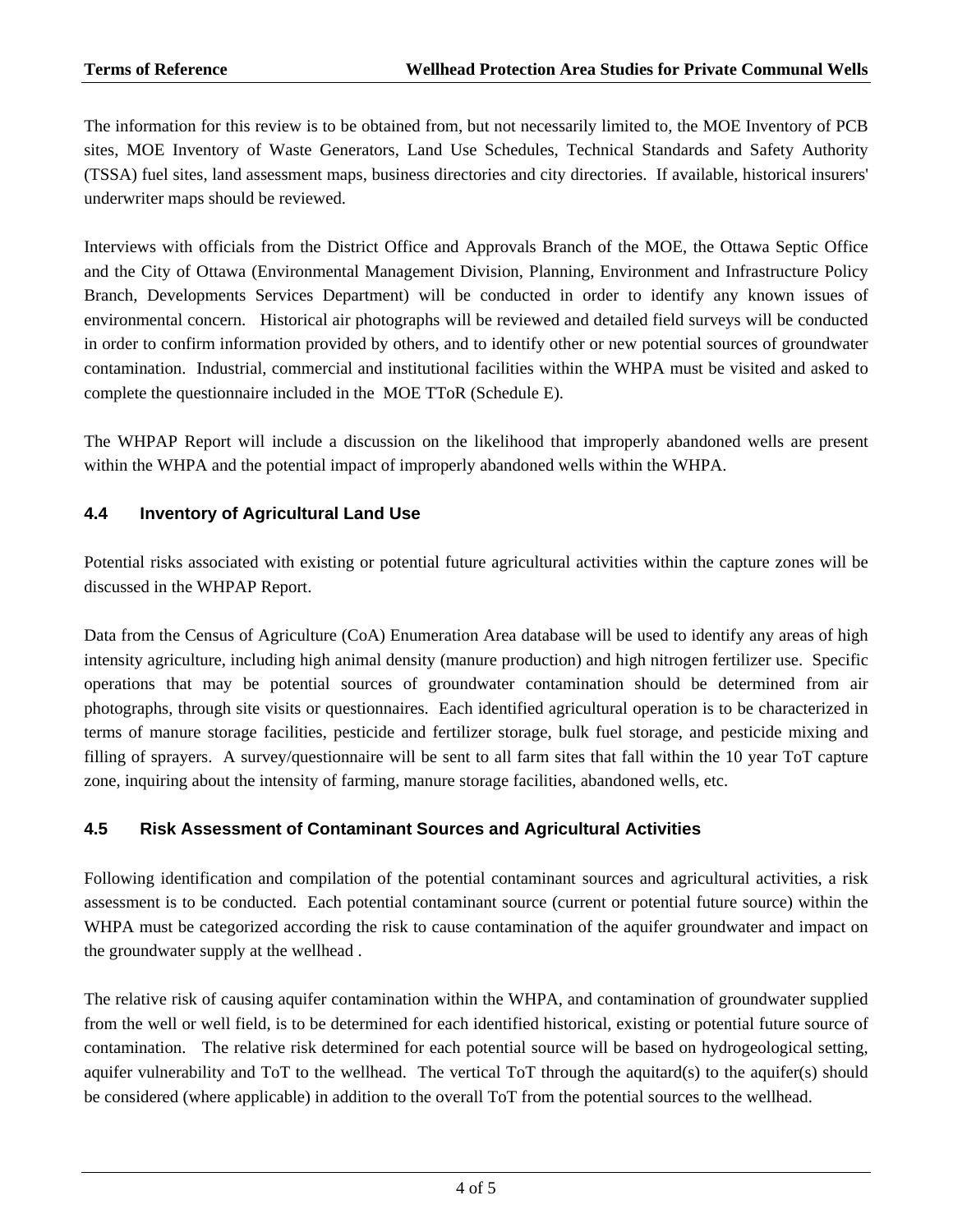The information for this review is to be obtained from, but not necessarily limited to, the MOE Inventory of PCB sites, MOE Inventory of Waste Generators, Land Use Schedules, Technical Standards and Safety Authority (TSSA) fuel sites, land assessment maps, business directories and city directories. If available, historical insurers' underwriter maps should be reviewed.

Interviews with officials from the District Office and Approvals Branch of the MOE, the Ottawa Septic Office and the City of Ottawa (Environmental Management Division, Planning, Environment and Infrastructure Policy Branch, Developments Services Department) will be conducted in order to identify any known issues of environmental concern. Historical air photographs will be reviewed and detailed field surveys will be conducted in order to confirm information provided by others, and to identify other or new potential sources of groundwater contamination. Industrial, commercial and institutional facilities within the WHPA must be visited and asked to complete the questionnaire included in the MOE TToR (Schedule E).

The WHPAP Report will include a discussion on the likelihood that improperly abandoned wells are present within the WHPA and the potential impact of improperly abandoned wells within the WHPA.

# **4.4 Inventory of Agricultural Land Use**

Potential risks associated with existing or potential future agricultural activities within the capture zones will be discussed in the WHPAP Report.

Data from the Census of Agriculture (CoA) Enumeration Area database will be used to identify any areas of high intensity agriculture, including high animal density (manure production) and high nitrogen fertilizer use. Specific operations that may be potential sources of groundwater contamination should be determined from air photographs, through site visits or questionnaires. Each identified agricultural operation is to be characterized in terms of manure storage facilities, pesticide and fertilizer storage, bulk fuel storage, and pesticide mixing and filling of sprayers. A survey/questionnaire will be sent to all farm sites that fall within the 10 year ToT capture zone, inquiring about the intensity of farming, manure storage facilities, abandoned wells, etc.

#### **4.5 Risk Assessment of Contaminant Sources and Agricultural Activities**

Following identification and compilation of the potential contaminant sources and agricultural activities, a risk assessment is to be conducted. Each potential contaminant source (current or potential future source) within the WHPA must be categorized according the risk to cause contamination of the aquifer groundwater and impact on the groundwater supply at the wellhead .

The relative risk of causing aquifer contamination within the WHPA, and contamination of groundwater supplied from the well or well field, is to be determined for each identified historical, existing or potential future source of contamination. The relative risk determined for each potential source will be based on hydrogeological setting, aquifer vulnerability and ToT to the wellhead. The vertical ToT through the aquitard(s) to the aquifer(s) should be considered (where applicable) in addition to the overall ToT from the potential sources to the wellhead.